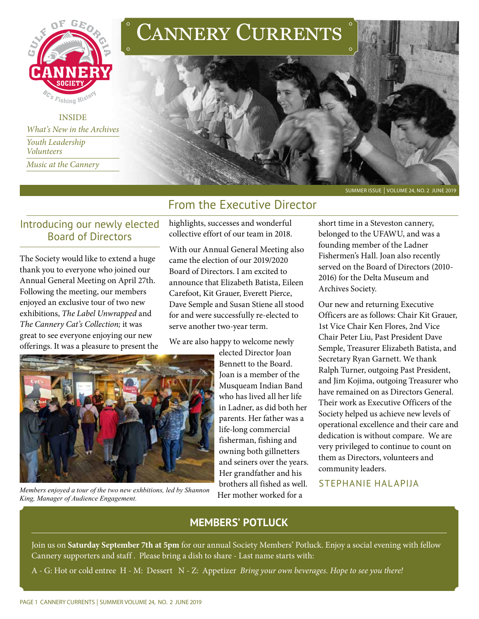

INSIDE *What's New in the Archives Youth Leadership Volunteers Music at the Cannery* 





#### SUMMER ISSUE | VOLUME 24, NO. 2 JUNE 2019

## From the Executive Director

## Introducing our newly elected Board of Directors

The Society would like to extend a huge thank you to everyone who joined our Annual General Meeting on April 27th. Following the meeting, our members enjoyed an exclusive tour of two new exhibitions, *The Label Unwrapped* and *The Cannery Cat's Collection;* it was great to see everyone enjoying our new offerings. It was a pleasure to present the highlights, successes and wonderful collective effort of our team in 2018.

With our Annual General Meeting also came the election of our 2019/2020 Board of Directors. I am excited to announce that Elizabeth Batista, Eileen Carefoot, Kit Grauer, Everett Pierce, Dave Semple and Susan Stiene all stood for and were successfully re-elected to serve another two-year term.

We are also happy to welcome newly



*Members enjoyed a tour of the two new exhbitions, led by Shannon King, Manager of Audience Engagement.* 

elected Director Joan Bennett to the Board. Joan is a member of the Musqueam Indian Band who has lived all her life in Ladner, as did both her parents. Her father was a life-long commercial fisherman, fishing and owning both gillnetters and seiners over the years. Her grandfather and his brothers all fished as well. Her mother worked for a

short time in a Steveston cannery, belonged to the UFAWU, and was a founding member of the Ladner Fishermen's Hall. Joan also recently served on the Board of Directors (2010- 2016) for the Delta Museum and Archives Society.

Our new and returning Executive Officers are as follows: Chair Kit Grauer, 1st Vice Chair Ken Flores, 2nd Vice Chair Peter Liu, Past President Dave Semple, Treasurer Elizabeth Batista, and Secretary Ryan Garnett. We thank Ralph Turner, outgoing Past President, and Jim Kojima, outgoing Treasurer who have remained on as Directors General. Their work as Executive Officers of the Society helped us achieve new levels of operational excellence and their care and dedication is without compare. We are very privileged to continue to count on them as Directors, volunteers and community leaders.

STEPHANIE HALAPIJA

## **MEMBERS' POTLUCK**

Join us on **Saturday September 7th at 5pm** for our annual Society Members' Potluck. Enjoy a social evening with fellow Cannery supporters and staff . Please bring a dish to share - Last name starts with:

A - G: Hot or cold entree H - M: Dessert N - Z: Appetizer *Bring your own beverages. Hope to see you there!*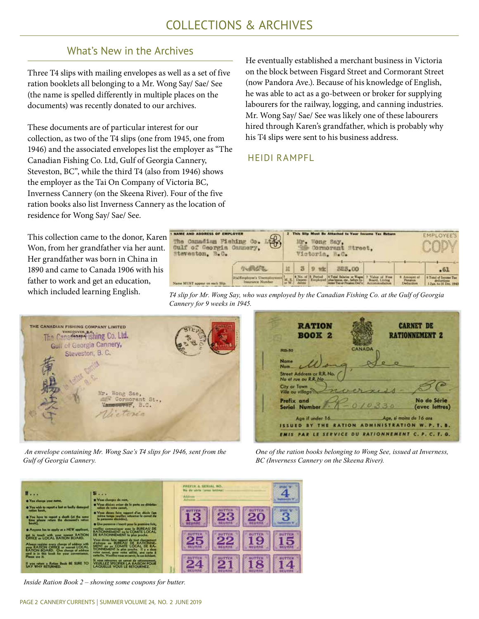## What's New in the Archives

Three T4 slips with mailing envelopes as well as a set of five ration booklets all belonging to a Mr. Wong Say/ Sae/ See (the name is spelled differently in multiple places on the documents) was recently donated to our archives.

These documents are of particular interest for our collection, as two of the T4 slips (one from 1945, one from 1946) and the associated envelopes list the employer as "The Canadian Fishing Co. Ltd, Gulf of Georgia Cannery, Steveston, BC", while the third T4 (also from 1946) shows the employer as the Tai On Company of Victoria BC, Inverness Cannery (on the Skeena River). Four of the five ration books also list Inverness Cannery as the location of residence for Wong Say/ Sae/ See.

He eventually established a merchant business in Victoria on the block between Fisgard Street and Cormorant Street (now Pandora Ave.). Because of his knowledge of English, he was able to act as a go-between or broker for supplying labourers for the railway, logging, and canning industries. Mr. Wong Say/ Sae/ See was likely one of these labourers hired through Karen's grandfather, which is probably why his T4 slips were sent to his business address.

## HEIDI RAMPFL

This collection came to the donor, Karen Won, from her grandfather via her aunt. Her grandfather was born in China in 1890 and came to Canada 1906 with his father to work and get an education, which included learning English.

| <b>I NAME AND ADDRESS OF EMPLOYER</b><br>$\circledast$<br>The Canadian Fishing Co.<br>Culf of Georgia Cannery.<br>Steveston, B.C. |                 | This Silp Must Be Attached to Your Incame Tax Beturn<br>Ar. Wong Say,<br>Cormorant Street.<br>Victoria B.C. |                   |                                                                                                             |                                |                                      | EMPLOYEE'S                                                    |  |
|-----------------------------------------------------------------------------------------------------------------------------------|-----------------|-------------------------------------------------------------------------------------------------------------|-------------------|-------------------------------------------------------------------------------------------------------------|--------------------------------|--------------------------------------|---------------------------------------------------------------|--|
| martin                                                                                                                            |                 |                                                                                                             | $\Omega$<br>wir   | 323.00                                                                                                      |                                |                                      | $-61$                                                         |  |
| 20alEmployee's Unemployment<br>Inaurunce Number<br>Name MUST appear on each Slip.                                                 | $\rightarrow W$ | dents:                                                                                                      | 4 No. of 3 Period | <b>STotal Salaries or Wages</b> 7 Value of Free<br>M. S.   Depen-   Employed   plan beans, etc., before re- | Board, Living<br>Accommodation | 3. Amount of<br>Pension<br>Deduction | 9 Total of Income Tax<br>deductives<br>1 Jan. to 31 Dec. 1943 |  |





 *An envelope containing Mr. Wong Sae's T4 slips for 1946, sent from the Gulf of Georgia Cannery.*

| <b>RATION</b>                                       |               | <b>CARNET DE</b>                                   |
|-----------------------------------------------------|---------------|----------------------------------------------------|
| <b>BOOK 2</b>                                       |               | <b>NEMENT 2</b>                                    |
| <b>RB-50</b>                                        | <b>CANADA</b> |                                                    |
| Name<br>Nom.                                        |               |                                                    |
| Street Address or R.R. No.<br>No et rue ou R.R. No. |               |                                                    |
| City or Town<br><b>Ville ou village</b>             |               |                                                    |
| Prefix and<br><b>Serial Number</b>                  | 0/0330        | No de Série<br>(avec lettres)                      |
| Age if under 16.<br>i i sku fo                      |               | Age, si moins de 16 ans<br><b>TION W. P. T. B.</b> |
|                                                     | ош<br>ω       | NNEMENT C. P. C. T. G.                             |

*One of the ration books belonging to Wong See, issued at Inverness, BC (Inverness Cannery on the Skeena River).* 



*Inside Ration Book 2 – showing some coupons for butter.*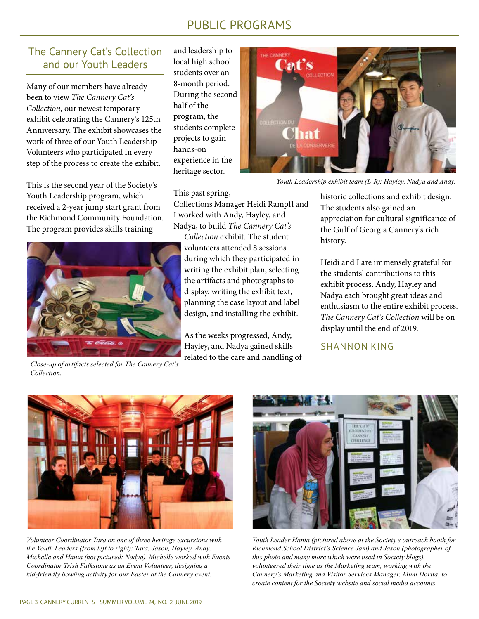# PUBLIC PROGRAMS

## The Cannery Cat's Collection and our Youth Leaders

Many of our members have already been to view *The Cannery Cat's Collection*, our newest temporary exhibit celebrating the Cannery's 125th Anniversary. The exhibit showcases the work of three of our Youth Leadership Volunteers who participated in every step of the process to create the exhibit.

This is the second year of the Society's Youth Leadership program, which received a 2-year jump start grant from the Richmond Community Foundation. The program provides skills training

and leadership to local high school students over an 8-month period. During the second half of the program, the students complete projects to gain hands-on experience in the heritage sector.



*Youth Leadership exhibit team (L-R): Hayley, Nadya and Andy.* 

#### This past spring,

Collections Manager Heidi Rampfl and I worked with Andy, Hayley, and Nadya, to build *The Cannery Cat's* 

*Collection* exhibit. The student volunteers attended 8 sessions during which they participated in writing the exhibit plan, selecting the artifacts and photographs to display, writing the exhibit text, planning the case layout and label design, and installing the exhibit.

As the weeks progressed, Andy, Hayley, and Nadya gained skills related to the care and handling of historic collections and exhibit design. The students also gained an appreciation for cultural significance of the Gulf of Georgia Cannery's rich history.

Heidi and I are immensely grateful for the students' contributions to this exhibit process. Andy, Hayley and Nadya each brought great ideas and enthusiasm to the entire exhibit process. *The Cannery Cat's Collection* will be on display until the end of 2019.

#### SHANNON KING



*Close-up of artifacts selected for The Cannery Cat's Collection.*



*Volunteer Coordinator Tara on one of three heritage excursions with the Youth Leaders (from left to right): Tara, Jason, Hayley, Andy, Michelle and Hania (not pictured: Nadya). Michelle worked with Events Coordinator Trish Falkstone as an Event Volunteer, designing a kid-friendly bowling activity for our Easter at the Cannery event.*



*Youth Leader Hania (pictured above at the Society's outreach booth for Richmond School District's Science Jam) and Jason (photographer of this photo and many more which were used in Society blogs), volunteered their time as the Marketing team, working with the Cannery's Marketing and Visitor Services Manager, Mimi Horita, to create content for the Society website and social media accounts.*